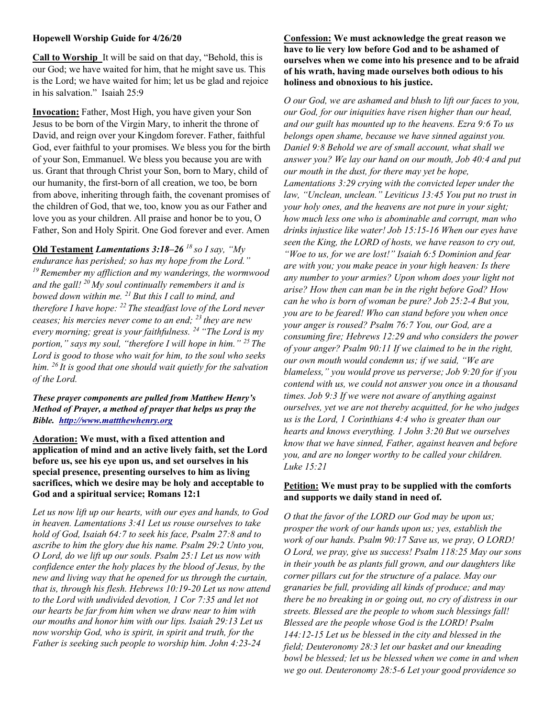### Hopewell Worship Guide for 4/26/20

Call to Worship It will be said on that day, "Behold, this is our God; we have waited for him, that he might save us. This is the Lord; we have waited for him; let us be glad and rejoice in his salvation." Isaiah 25:9

Invocation: Father, Most High, you have given your Son Jesus to be born of the Virgin Mary, to inherit the throne of David, and reign over your Kingdom forever. Father, faithful God, ever faithful to your promises. We bless you for the birth of your Son, Emmanuel. We bless you because you are with us. Grant that through Christ your Son, born to Mary, child of our humanity, the first-born of all creation, we too, be born from above, inheriting through faith, the covenant promises of the children of God, that we, too, know you as our Father and love you as your children. All praise and honor be to you, O Father, Son and Holy Spirit. One God forever and ever. Amen

Old Testament Lamentations  $3:18-26$  <sup>18</sup> so I say, "My endurance has perished; so has my hope from the Lord."  $19$  Remember my affliction and my wanderings, the wormwood and the gall!  $^{20}$  My soul continually remembers it and is bowed down within me.  $^{21}$  But this I call to mind, and therefore I have hope:  $^{22}$  The steadfast love of the Lord never ceases; his mercies never come to an end;  $^{23}$  they are new every morning; great is your faithfulness.<sup>24</sup> "The Lord is my portion," says my soul, "therefore I will hope in him."  $25$  The Lord is good to those who wait for him, to the soul who seeks him.  $^{26}$  It is good that one should wait quietly for the salvation of the Lord.

These prayer components are pulled from Matthew Henry's Method of Prayer, a method of prayer that helps us pray the Bible. http://www.mattthewhenry.org

Adoration: We must, with a fixed attention and application of mind and an active lively faith, set the Lord before us, see his eye upon us, and set ourselves in his special presence, presenting ourselves to him as living sacrifices, which we desire may be holy and acceptable to God and a spiritual service; Romans 12:1

Let us now lift up our hearts, with our eyes and hands, to God in heaven. Lamentations 3:41 Let us rouse ourselves to take hold of God, Isaiah 64:7 to seek his face, Psalm 27:8 and to ascribe to him the glory due his name. Psalm 29:2 Unto you, O Lord, do we lift up our souls. Psalm 25:1 Let us now with confidence enter the holy places by the blood of Jesus, by the new and living way that he opened for us through the curtain, that is, through his flesh. Hebrews 10:19-20 Let us now attend to the Lord with undivided devotion, 1 Cor 7:35 and let not our hearts be far from him when we draw near to him with our mouths and honor him with our lips. Isaiah 29:13 Let us now worship God, who is spirit, in spirit and truth, for the Father is seeking such people to worship him. John 4:23-24

### Confession: We must acknowledge the great reason we have to lie very low before God and to be ashamed of ourselves when we come into his presence and to be afraid of his wrath, having made ourselves both odious to his holiness and obnoxious to his justice.

O our God, we are ashamed and blush to lift our faces to you, our God, for our iniquities have risen higher than our head, and our guilt has mounted up to the heavens. Ezra 9:6 To us belongs open shame, because we have sinned against you. Daniel 9:8 Behold we are of small account, what shall we answer you? We lay our hand on our mouth, Job 40:4 and put our mouth in the dust, for there may yet be hope, Lamentations 3:29 crying with the convicted leper under the law, "Unclean, unclean." Leviticus 13:45 You put no trust in your holy ones, and the heavens are not pure in your sight; how much less one who is abominable and corrupt, man who drinks injustice like water! Job 15:15-16 When our eyes have seen the King, the LORD of hosts, we have reason to cry out, "Woe to us, for we are lost!" Isaiah 6:5 Dominion and fear are with you; you make peace in your high heaven: Is there any number to your armies? Upon whom does your light not arise? How then can man be in the right before God? How can he who is born of woman be pure? Job 25:2-4 But you, you are to be feared! Who can stand before you when once your anger is roused? Psalm 76:7 You, our God, are a consuming fire; Hebrews 12:29 and who considers the power of your anger? Psalm 90:11 If we claimed to be in the right, our own mouth would condemn us; if we said, "We are blameless," you would prove us perverse; Job 9:20 for if you contend with us, we could not answer you once in a thousand times. Job 9:3 If we were not aware of anything against ourselves, yet we are not thereby acquitted, for he who judges us is the Lord, 1 Corinthians 4:4 who is greater than our hearts and knows everything. 1 John 3:20 But we ourselves know that we have sinned, Father, against heaven and before you, and are no longer worthy to be called your children. Luke 15:21

# Petition: We must pray to be supplied with the comforts and supports we daily stand in need of.

O that the favor of the LORD our God may be upon us; prosper the work of our hands upon us; yes, establish the work of our hands. Psalm 90:17 Save us, we pray, O LORD! O Lord, we pray, give us success! Psalm 118:25 May our sons in their youth be as plants full grown, and our daughters like corner pillars cut for the structure of a palace. May our granaries be full, providing all kinds of produce; and may there be no breaking in or going out, no cry of distress in our streets. Blessed are the people to whom such blessings fall! Blessed are the people whose God is the LORD! Psalm 144:12-15 Let us be blessed in the city and blessed in the field; Deuteronomy 28:3 let our basket and our kneading bowl be blessed; let us be blessed when we come in and when we go out. Deuteronomy 28:5-6 Let your good providence so